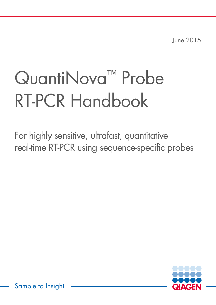June 2015

# QuantiNova<sup>™</sup> Probe RT-PCR Handbook

For highly sensitive, ultrafast, quantitative real-time RT-PCR using sequence-specific probes



Sample to Insight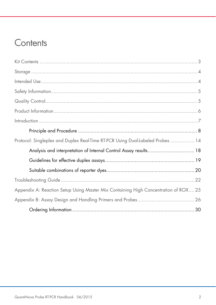# Contents

| Protocol: Singleplex and Duplex Real-Time RT-PCR Using Dual-Labeled Probes  14      |  |
|-------------------------------------------------------------------------------------|--|
| Analysis and interpretation of Internal Control Assay results 18                    |  |
|                                                                                     |  |
|                                                                                     |  |
|                                                                                     |  |
| Appendix A: Reaction Setup Using Master Mix Containing High Concentration of ROX 25 |  |
|                                                                                     |  |
|                                                                                     |  |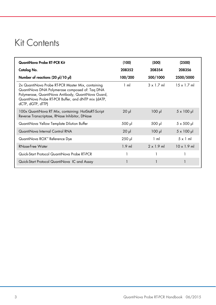# Kit Contents

| QuantiNova Probe RT-PCR Kit                                                                                                                                                                                                           | (100)          | (500)             | (2500)             |
|---------------------------------------------------------------------------------------------------------------------------------------------------------------------------------------------------------------------------------------|----------------|-------------------|--------------------|
| Catalog No.                                                                                                                                                                                                                           | 208352         | 208354            | 208356             |
| Number of reactions (20 µl/10 µl)                                                                                                                                                                                                     | 100/200        | 500/1000          | 2500/5000          |
| 2x QuantiNova Probe RT-PCR Master Mix, containing<br>QuantiNova DNA Polymerase composed of: Taq DNA<br>Polymerase, QuantiNova Antibody, QuantiNova Guard,<br>QuantiNova Probe RT-PCR Buffer, and dNTP mix (dATP,<br>dCTP, dGTP, dTTP) | $1 \text{ ml}$ | $3 \times 1.7$ ml | $15 \times 1.7$ ml |
| 100x QuantiNova RT Mix, containing: HotStaRT-Script<br>Reverse Transcriptase, RNase Inhibitor, DNase                                                                                                                                  | $20$ $\mu$     | $100 \mu$         | $5 \times 100 \mu$ |
| QuantiNova Yellow Template Dilution Buffer                                                                                                                                                                                            | 500 µl         | 500 µl            | $5 \times 500$ µ   |
| QuantiNova Internal Control RNA                                                                                                                                                                                                       | $20$ $\mu$     | $100$ pl          | $5 \times 100 \mu$ |
| QuantiNova ROX™ Reference Dye                                                                                                                                                                                                         | $250$ $\mu$    | $1 \text{ ml}$    | $5 \times 1$ m     |
| <b>RNase-Free Water</b>                                                                                                                                                                                                               | $1.9$ m        | $2 \times 1.9$ ml | $10 \times 1.9$ ml |
| Quick-Start Protocol QuantiNova Probe RT-PCR                                                                                                                                                                                          |                |                   |                    |
| Quick-Start Protocol QuantiNova IC and Assay                                                                                                                                                                                          |                |                   |                    |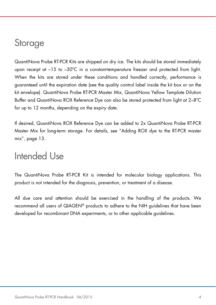# **Storage**

QuantiNova Probe RT-PCR Kits are shipped on dry ice. The kits should be stored immediately upon receipt at  $-15$  to  $-30^{\circ}$ C in a constant-temperature freezer and protected from light. When the kits are stored under these conditions and handled correctly, performance is guaranteed until the expiration date (see the quality control label inside the kit box or on the kit envelope). QuantiNova Probe RT-PCR Master Mix, QuantiNova Yellow Template Dilution Buffer and QuantiNova ROX Reference Dye can also be stored protected from light at 2–8ºC for up to 12 months, depending on the expiry date.

If desired, QuantiNova ROX Reference Dye can be added to 2x QuantiNova Probe RT-PCR Master Mix for long-term storage. For details, see "Adding ROX dye to the RT-PCR master mix", page 13.

## Intended Use

The QuantiNova Probe RT-PCR Kit is intended for molecular biology applications. This product is not intended for the diagnosis, prevention, or treatment of a disease.

All due care and attention should be exercised in the handling of the products. We recommend all users of QIAGEN® products to adhere to the NIH guidelines that have been developed for recombinant DNA experiments, or to other applicable guidelines.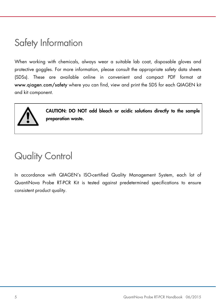# Safety Information

When working with chemicals, always wear a suitable lab coat, disposable gloves and protective goggles. For more information, please consult the appropriate safety data sheets (SDSs). These are available online in convenient and compact PDF format at www.qiagen.com/safety where you can find, view and print the SDS for each QIAGEN kit and kit component.



CAUTION: DO NOT add bleach or acidic solutions directly to the sample preparation waste.

# Quality Control

In accordance with QIAGEN's ISO-certified Quality Management System, each lot of QuantiNova Probe RT-PCR Kit is tested against predetermined specifications to ensure consistent product quality.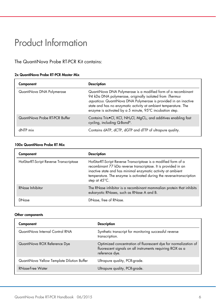# Product Information

### The QuantiNova Probe RT-PCR Kit contains:

#### 2x QuantiNova Probe RT-PCR Master Mix

| Component                      | <b>Description</b>                                                                                                                                                                                                                                                                                                         |
|--------------------------------|----------------------------------------------------------------------------------------------------------------------------------------------------------------------------------------------------------------------------------------------------------------------------------------------------------------------------|
| QuantiNova DNA Polymerase      | QuantiNova DNA Polymerase is a modified form of a recombinant<br>94 kDa DNA polymerase, originally isolated from Thermus<br>aquaticus. QuantiNova DNA Polymerase is provided in an inactive<br>state and has no enzymatic activity at ambient temperature. The<br>enzyme is activated by a 5 minute, 95°C incubation step. |
| QuantiNova Probe RT-PCR Buffer | Contains Tris•Cl, KCl, NH <sub>4</sub> Cl, MgCl <sub>2</sub> , and additives enabling fast<br>cycling, including Q-Bond®.                                                                                                                                                                                                  |
| dNTP mix                       | Contains dATP, dCTP, dGTP and dTTP of ultrapure quality.                                                                                                                                                                                                                                                                   |

#### 100x QuantiNova Probe RT Mix

| Component                              | <b>Description</b>                                                                                                                                                                                                                                                                         |
|----------------------------------------|--------------------------------------------------------------------------------------------------------------------------------------------------------------------------------------------------------------------------------------------------------------------------------------------|
| HotStarRT-Script Reverse Transcriptase | HotStarRT-Script Reverse Transcriptase is a modified form of a<br>recombinant 77 kDa reverse transcriptase. It is provided in an<br>inactive state and has minimal enzymatic activity at ambient<br>temperature. The enzyme is activated during the reverse-transcription<br>step at 45°C. |
| RNase Inhibitor                        | The RNase inhibitor is a recombinant mammalian protein that inhibits<br>eukaryotic RNases, such as RNase A and B.                                                                                                                                                                          |
| DNase                                  | DNase, free of RNase.                                                                                                                                                                                                                                                                      |

#### Other components

| Component                                  | <b>Description</b>                                                                                                                             |
|--------------------------------------------|------------------------------------------------------------------------------------------------------------------------------------------------|
| QuantiNova Internal Control RNA            | Synthetic transcript for monitoring successful reverse<br>transcription.                                                                       |
| QuantiNova ROX Reference Dye               | Optimized concentration of fluorescent dye for normalization of<br>fluorescent signals on all instruments requiring ROX as a<br>reference dye. |
| QuantiNova Yellow Template Dilution Buffer | Ultrapure quality, PCR-grade.                                                                                                                  |
| RNase-Free Water                           | Ultrapure quality, PCR-grade.                                                                                                                  |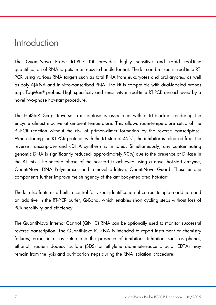### Introduction

The QuantiNova Probe RT-PCR Kit provides highly sensitive and rapid real-time quantification of RNA targets in an easy-to-handle format. The kit can be used in real-time RT-PCR using various RNA targets such as total RNA from eukaryotes and prokaryotes, as well as poly(A)-RNA and in vitro-transcribed RNA. The kit is compatible with dual-labeled probes e.g., TaqMan® probes. High specificity and sensitivity in real-time RT-PCR are achieved by a novel two-phase hot-start procedure.

The HotStaRT-Script Reverse Transcriptase is associated with a RT-blocker, rendering the enzyme almost inactive at ambient temperature. This allows room-temperature setup of the RT-PCR reaction without the risk of primer–dimer formation by the reverse transcriptase. When starting the RT-PCR protocol with the RT step at  $45^{\circ}$ C, the inhibitor is released from the reverse transcriptase and cDNA synthesis is initiated. Simultaneously, any contaminating genomic DNA is significantly reduced (approximately 90%) due to the presence of DNase in the RT mix. The second phase of the hot-start is achieved using a novel hot-start enzyme, QuantiNova DNA Polymerase, and a novel additive, QuantiNova Guard. These unique components further improve the stringency of the antibody-mediated hot-start.

The kit also features a built-in control for visual identification of correct template addition and an additive in the RT-PCR buffer, Q-Bond, which enables short cycling steps without loss of PCR sensitivity and efficiency.

The QuantiNova Internal Control (QN IC) RNA can be optionally used to monitor successful reverse transcription. The QuantiNova IC RNA is intended to report instrument or chemistry failures, errors in assay setup and the presence of inhibitors. Inhibitors such as phenol, ethanol, sodium dodecyl sulfate (SDS) or ethylene diaminetetraacetic acid (EDTA) may remain from the lysis and purification steps during the RNA isolation procedure.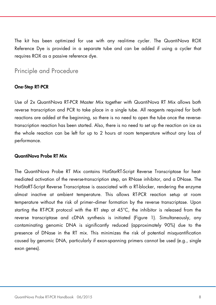The kit has been optimized for use with any real-time cycler. The QuantiNova ROX Reference Dye is provided in a separate tube and can be added if using a cycler that requires ROX as a passive reference dye.

### Principle and Procedure

#### One-Step RT-PCR

Use of 2x QuantiNova RT-PCR Master Mix together with QuantiNova RT Mix allows both reverse transcription and PCR to take place in a single tube. All reagents required for both reactions are added at the beginning, so there is no need to open the tube once the reversetranscription reaction has been started. Also, there is no need to set up the reaction on ice as the whole reaction can be left for up to 2 hours at room temperature without any loss of performance.

#### QuantiNova Probe RT Mix

The QuantiNova Probe RT Mix contains HotStarRT-Script Reverse Transcriptase for heatmediated activation of the reverse-transcription step, an RNase inhibitor, and a DNase. The HotStaRT-Script Reverse Transcriptase is associated with a RT-blocker, rendering the enzyme almost inactive at ambient temperature. This allows RT-PCR reaction setup at room temperature without the risk of primer–dimer formation by the reverse transcriptase. Upon starting the RT-PCR protocol with the RT step at 45°C, the inhibitor is released from the reverse transcriptase and cDNA synthesis is initiated (Figure 1). Simultaneously, any contaminating genomic DNA is significantly reduced (approximately 90%) due to the presence of DNase in the RT mix. This minimizes the risk of potential misquantification caused by genomic DNA, particularly if exon-spanning primers cannot be used (e.g., single exon genes).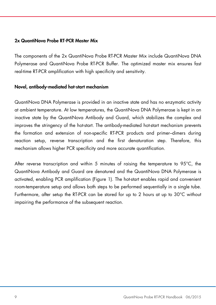#### 2x QuantiNova Probe RT-PCR Master Mix

The components of the 2x QuantiNova Probe RT-PCR Master Mix include QuantiNova DNA Polymerase and QuantiNova Probe RT-PCR Buffer. The optimized master mix ensures fast real-time RT-PCR amplification with high specificity and sensitivity.

#### Novel, antibody-mediated hot-start mechanism

QuantiNova DNA Polymerase is provided in an inactive state and has no enzymatic activity at ambient temperature. At low temperatures, the QuantiNova DNA Polymerase is kept in an inactive state by the QuantiNova Antibody and Guard, which stabilizes the complex and improves the stringency of the hot-start. The antibody-mediated hot-start mechanism prevents the formation and extension of non-specific RT-PCR products and primer–dimers during reaction setup, reverse transcription and the first denaturation step. Therefore, this mechanism allows higher PCR specificity and more accurate quantification.

After reverse transcription and within 5 minutes of raising the temperature to 95°C, the QuantiNova Antibody and Guard are denatured and the QuantiNova DNA Polymerase is activated, enabling PCR amplification (Figure 1). The hot-start enables rapid and convenient room-temperature setup and allows both steps to be performed sequentially in a single tube. Furthermore, after setup the RT-PCR can be stored for up to 2 hours at up to 30°C without impairing the performance of the subsequent reaction.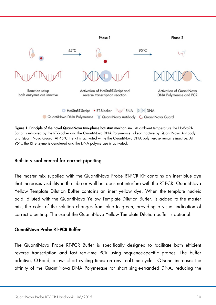

Figure 1. Principle of the novel QuantiNova two-phase hot-start mechanism. At ambient temperature the HotStaRT-Script is inhibited by the RT-Blocker and the QuantiNova DNA Polymerase is kept inactive by QuantiNova Antibody and QuantiNova Guard. At 45°C the RT is activated while the QuantiNova DNA polymerase remains inactive. At 95°C the RT enzyme is denatured and the DNA polymerase is activated.

### Built-in visual control for correct pipetting

The master mix supplied with the QuantiNova Probe RT-PCR Kit contains an inert blue dye that increases visibility in the tube or well but does not interfere with the RT-PCR. QuantiNova Yellow Template Dilution Buffer contains an inert yellow dye. When the template nucleic acid, diluted with the QuantiNova Yellow Template Dilution Buffer, is added to the master mix, the color of the solution changes from blue to green, providing a visual indication of correct pipetting. The use of the QuantiNova Yellow Template Dilution buffer is optional.

#### QuantiNova Probe RT-PCR Buffer

The QuantiNova Probe RT-PCR Buffer is specifically designed to facilitate both efficient reverse transcription and fast real-time PCR using sequence-specific probes. The buffer additive, Q-Bond, allows short cycling times on any real-time cycler. Q-Bond increases the affinity of the QuantiNova DNA Polymerase for short single-stranded DNA, reducing the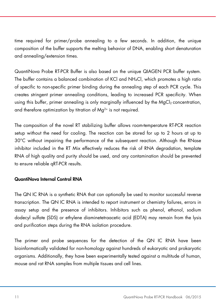time required for primer/probe annealing to a few seconds. In addition, the unique composition of the buffer supports the melting behavior of DNA, enabling short denaturation and annealing/extension times.

QuantiNova Probe RT-PCR Buffer is also based on the unique QIAGEN PCR buffer system. The buffer contains a balanced combination of KCl and NH4Cl, which promotes a high ratio of specific to non-specific primer binding during the annealing step of each PCR cycle. This creates stringent primer annealing conditions, leading to increased PCR specificity. When using this buffer, primer annealing is only marginally influenced by the  $MaCl<sub>2</sub>$  concentration, and therefore optimization by titration of  $Ma^{2+}$  is not required.

The composition of the novel RT stabilizing buffer allows room-temperature RT-PCR reaction setup without the need for cooling. The reaction can be stored for up to 2 hours at up to 30°C without impairing the performance of the subsequent reaction. Although the RNase inhibitor included in the RT Mix effectively reduces the risk of RNA degradation, template RNA of high quality and purity should be used, and any contamination should be prevented to ensure reliable qRT-PCR results.

### QuantiNova Internal Control RNA

The QN IC RNA is a synthetic RNA that can optionally be used to monitor successful reverse transcription. The QN IC RNA is intended to report instrument or chemistry failures, errors in assay setup and the presence of inhibitors. Inhibitors such as phenol, ethanol, sodium dodecyl sulfate (SDS) or ethylene diaminetetraacetic acid (EDTA) may remain from the lysis and purification steps during the RNA isolation procedure.

The primer and probe sequences for the detection of the QN IC RNA have been bioinformatically validated for non-homology against hundreds of eukaryotic and prokaryotic organisms. Additionally, they have been experimentally tested against a multitude of human, mouse and rat RNA samples from multiple tissues and cell lines.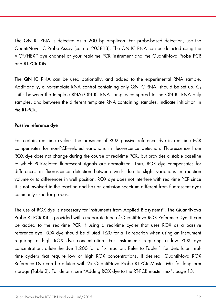The QN IC RNA is detected as a 200 bp amplicon. For probe-based detection, use the QuantiNova IC Probe Assay (cat.no. 205813). The QN IC RNA can be detected using the VIC®/HEX™ dye channel of your real-time PCR instrument and the QuantiNova Probe PCR and RT-PCR Kits.

The QN IC RNA can be used optionally, and added to the experimental RNA sample. Additionally, a no-template RNA control containing only QN IC RNA, should be set up.  $C_{q}$ shifts between the template RNA+QN IC RNA samples compared to the QN IC RNA only samples, and between the different template RNA containing samples, indicate inhibition in the RT-PCR.

#### Passive reference dye

For certain real-time cyclers, the presence of ROX passive reference dye in real-time PCR compensates for non-PCR–related variations in fluorescence detection. Fluorescence from ROX dye does not change during the course of real-time PCR, but provides a stable baseline to which PCR-related fluorescent signals are normalized. Thus, ROX dye compensates for differences in fluorescence detection between wells due to slight variations in reaction volume or to differences in well position. ROX dye does not interfere with real-time PCR since it is not involved in the reaction and has an emission spectrum different from fluorescent dyes commonly used for probes.

The use of ROX dye is necessary for instruments from Applied Biosystems®. The QuantiNova Probe RT-PCR Kit is provided with a separate tube of QuantiNova ROX Reference Dye. It can be added to the real-time PCR if using a real-time cycler that uses ROX as a passive reference dye. ROX dye should be diluted 1:20 for a 1x reaction when using an instrument requiring a high ROX dye concentration. For instruments requiring a low ROX dye concentration, dilute the dye 1:200 for a 1x reaction. Refer to Table 1 for details on realtime cyclers that require low or high ROX concentrations. If desired, QuantiNova ROX Reference Dye can be diluted with 2x QuantiNova Probe RT-PCR Master Mix for long-term storage (Table 2). For details, see "Adding ROX dye to the RT-PCR master mix", page 13.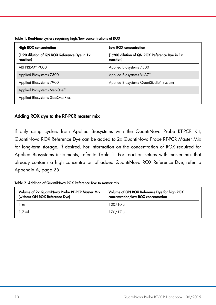| <b>High ROX concentration</b>                              | Low ROX concentration                                       |
|------------------------------------------------------------|-------------------------------------------------------------|
| (1:20 dilution of QN ROX Reference Dye in 1x)<br>reaction) | (1:200 dilution of QN ROX Reference Dye in 1x)<br>reaction) |
| ABI PRISM <sup>®</sup> 7000                                | Applied Biosystems 7500                                     |
| Applied Biosystems 7300                                    | Applied Biosystems ViiA7 <sup>™</sup>                       |
| Applied Biosystems 7900                                    | Applied Biosystems QuantStudio <sup>®</sup> Systems         |
| Applied Biosystems StepOne <sup>™</sup>                    |                                                             |
| Applied Biosystems StepOne Plus                            |                                                             |

Table 1. Real-time cyclers requiring high/low concentrations of ROX

#### Adding ROX dye to the RT-PCR master mix

If only using cyclers from Applied Biosystems with the QuantiNova Probe RT-PCR Kit, QuantiNova ROX Reference Dye can be added to 2x QuantiNova Probe RT-PCR Master Mix for long-term storage, if desired. For information on the concentration of ROX required for Applied Biosystems instruments, refer to Table 1. For reaction setups with master mix that already contains a high concentration of added QuantiNova ROX Reference Dye, refer to Appendix A, page 25.

|  |  |  |  | Table 2. Addition of QuantiNova ROX Reference Dye to master mix |
|--|--|--|--|-----------------------------------------------------------------|
|--|--|--|--|-----------------------------------------------------------------|

| Volume of 2x QuantiNova Probe RT-PCR Master Mix<br>(without QN ROX Reference Dye) | Volume of QN ROX Reference Dye for high ROX<br>concentration/low ROX concentration |
|-----------------------------------------------------------------------------------|------------------------------------------------------------------------------------|
| 1 ml                                                                              | $100/10$ ul                                                                        |
| $1.7$ ml                                                                          | 170/17 ul                                                                          |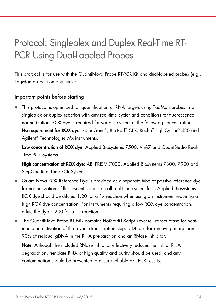# Protocol: Singleplex and Duplex Real-Time RT-PCR Using Dual-Labeled Probes

This protocol is for use with the QuantiNova Probe RT-PCR Kit and dual-labeled probes (e.g., TaqMan probes) on any cycler.

Important points before starting

 This protocol is optimized for quantification of RNA targets using TaqMan probes in a singleplex or duplex reaction with any real-time cycler and conditions for fluorescence normalization. ROX dye is required for various cyclers at the following concentrations: No requirement for ROX dye: Rotor-Gene®, Bio-Rad® CFX, Roche® LightCycler® 480 and Agilent® Technologies Mx instruments.

Low concentration of ROX dye: Applied Biosystems 7500, ViiA7 and QuantStudio Real-Time PCR Systems.

High concentration of ROX dye: ABI PRISM 7000, Applied Biosystems 7300, 7900 and StepOne Real-Time PCR Systems.

- QuantiNova ROX Reference Dye is provided as a separate tube of passive reference dye for normalization of fluorescent signals on all real-time cyclers from Applied Biosystems. ROX dye should be diluted 1:20 for a 1x reaction when using an instrument requiring a high ROX dye concentration. For instruments requiring a low ROX dye concentration, dilute the dye 1:200 for a 1x reaction.
- The QuantiNova Probe RT Mix contains HotStarRT-Script Reverse Transcriptase for heatmediated activation of the reverse-transcription step, a DNase for removing more than 90% of residual gDNA in the RNA preparation and an RNase inhibitor.

Note: Although the included RNase inhibitor effectively reduces the risk of RNA degradation, template RNA of high quality and purity should be used, and any contamination should be prevented to ensure reliable qRT-PCR results.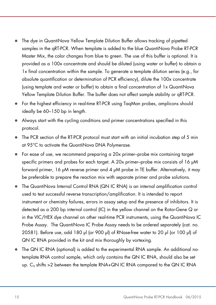- The dye in QuantiNova Yellow Template Dilution Buffer allows tracking of pipetted samples in the qRT-PCR. When template is added to the blue QuantiNova Probe RT-PCR Master Mix, the color changes from blue to green. The use of this buffer is optional. It is provided as a 100x concentrate and should be diluted (using water or buffer) to obtain a 1x final concentration within the sample. To generate a template dilution series (e.g., for absolute quantification or determination of PCR efficiency), dilute the 100x concentrate (using template and water or buffer) to obtain a final concentration of 1x QuantiNova Yellow Template Dilution Buffer. The buffer does not affect sample stability or qRT-PCR.
- For the highest efficiency in real-time RT-PCR using TaqMan probes, amplicons should ideally be 60–150 bp in length.
- Always start with the cycling conditions and primer concentrations specified in this protocol.
- The PCR section of the RT-PCR protocol must start with an initial incubation step of 5 min at 95°C to activate the QuantiNova DNA Polymerase.
- For ease of use, we recommend preparing a 20x primer–probe mix containing targetspecific primers and probes for each target. A 20x primer–probe mix consists of 16 μM forward primer, 16 μM reverse primer and 4 μM probe in TE buffer. Alternatively, it may be preferable to prepare the reaction mix with separate primer and probe solutions.
- The QuantiNova Internal Control RNA (QN IC RNA) is an internal amplification control used to test successful reverse transcription/amplification. It is intended to report instrument or chemistry failures, errors in assay setup and the presence of inhibitors. It is detected as a 200 bp internal control (IC) in the yellow channel on the Rotor-Gene Q or in the VIC/HEX dye channel on other real-time PCR instruments, using the QuantiNova IC Probe Assay. The QuantiNova IC Probe Assay needs to be ordered separately (cat. no. 20581). Before use, add 180 μl (or 900 μl) of RNase-free water to 20 μl (or 100 μl) of QN IC RNA provided in the kit and mix thoroughly by vortexing.
- The QN IC RNA (optional) is added to the experimental RNA sample. An additional notemplate RNA control sample, which only contains the QN IC RNA, should also be set up. C<sub>q</sub> shifts >2 between the template RNA+QN IC RNA compared to the QN IC RNA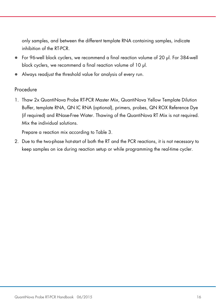only samples, and between the different template RNA containing samples, indicate inhibition of the RT-PCR.

- For 96-well block cyclers, we recommend a final reaction volume of 20 μl. For 384-well block cyclers, we recommend a final reaction volume of 10 μl.
- Always readjust the threshold value for analysis of every run.

### **Procedure**

1. Thaw 2x QuantiNova Probe RT-PCR Master Mix, QuantiNova Yellow Template Dilution Buffer, template RNA, QN IC RNA (optional), primers, probes, QN ROX Reference Dye (if required) and RNase-Free Water. Thawing of the QuantiNova RT Mix is not required. Mix the individual solutions.

Prepare a reaction mix according to Table 3.

2. Due to the two-phase hot-start of both the RT and the PCR reactions, it is not necessary to keep samples on ice during reaction setup or while programming the real-time cycler.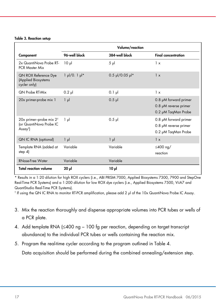|                                                                                      |                     | Volume/reaction   |                                                                       |
|--------------------------------------------------------------------------------------|---------------------|-------------------|-----------------------------------------------------------------------|
| Component                                                                            | 96-well block       | 384-well block    | <b>Final concentration</b>                                            |
| 2x QuantiNova Probe RT-<br><b>PCR Master Mix</b>                                     | $10 \mu$            | $5 \mu$           | 1 x                                                                   |
| <b>QN ROX Reference Dye</b><br>(Applied Biosystems<br>cycler only)                   | $1 \mu / 0.1 \mu$ * | $0.5$ µl/0.05 µl* | 1 x                                                                   |
| <b>QN Probe RT-Mix</b>                                                               | $0.2$ pl            | $0.1$ pl          | 1 x                                                                   |
| 20x primer-probe mix 1                                                               | $1 \mu$             | $0.5$ pl          | 0.8 µM forward primer<br>0.8 µM reverse primer<br>0.2 µM TaqMan Probe |
| 20x primer-probe mix 2 <sup>t</sup><br>(or QuantiNova Probe IC<br>Assay <sup>†</sup> | $1 \mu$             | $0.5$ pl          | 0.8 µM forward primer<br>0.8 µM reverse primer<br>0.2 µM TaqMan Probe |
| <b>QN IC RNA (optional)</b>                                                          | $1 \mu$             | $1 \mu$           | 1 x                                                                   |
| Template RNA (added at<br>step $4$                                                   | Variable            | Variable          | $\leq$ 400 ng/<br>reaction                                            |
| <b>RNase-Free Water</b>                                                              | Variable            | Variable          |                                                                       |
| <b>Total reaction volume</b>                                                         | $20 \mu$            | 10 <sub>µ</sub>   |                                                                       |

Results in a 1:20 dilution for high ROX cyclers (i.e., ABI PRISM 7000, Applied Biosystems 7300, 7900 and StepOne Real-Time PCR Systems) and a 1:200 dilution for low ROX dye cyclers (i.e., Applied Biosystems 7500, ViiA7 and QuantStudio Real-Time PCR Systems).

† If using the QN IC RNA to monitor RT-PCR amplification, please add 2 μl of the 10x QuantiNova Probe IC Assay.

- 3. Mix the reaction thoroughly and dispense appropriate volumes into PCR tubes or wells of a PCR plate.
- 4. Add template RNA (≤400 ng 100 fg per reaction, depending on target transcript abundance) to the individual PCR tubes or wells containing the reaction mix.
- 5. Program the real-time cycler according to the program outlined in Table 4.

Data acquisition should be performed during the combined annealing/extension step.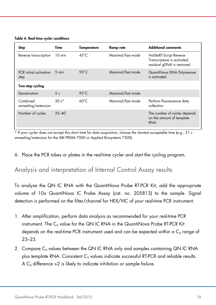Table 4. Real-time cycler conditions

| Step                            | Time             | <b>Temperature</b> | Ramp rate         | <b>Additional comments</b>                                                         |
|---------------------------------|------------------|--------------------|-------------------|------------------------------------------------------------------------------------|
| Reverse transcription           | $10 \text{ min}$ | $45^{\circ}$ C     | Maximal/fast mode | HotStaRT-Script Reverse<br>Transcriptase is activated,<br>residual gDNA is removed |
| PCR initial activation<br>step  | $5 \text{ min}$  | $95^{\circ}$ C     | Maximal/fast mode | QuantiNova DNA Polymerase<br>is activated                                          |
| Two-step cycling                |                  |                    |                   |                                                                                    |
| Denaturation                    | 5 <sub>s</sub>   | $95^{\circ}$ C     | Maximal/fast mode |                                                                                    |
| Combined<br>annealing/extension | $30s*$           | $60^{\circ}$ C     | Maximal/fast mode | Perform fluorescence data<br>collection                                            |
| Number of cycles                | $35 - 40$        |                    |                   | The number of cycles depends<br>on the amount of template<br><b>RNA</b>            |

If your cycler does not accept this short time for data acquisition, choose the shortest acceptable time (e.g., 31 s annealing/extension for the ABI PRISM 7000 or Applied Biosystems 7300).

6. Place the PCR tubes or plates in the real-time cycler and start the cycling program.

### Analysis and interpretation of Internal Control Assay results

To analyze the QN IC RNA with the QuantiNova Probe RT-PCR Kit, add the appropriate volume of 10x QuantiNova IC Probe Assay (cat. no. 205813) to the sample. Signal detection is performed on the filter/channel for HEX/VIC of your real-time PCR instrument.

- 1. After amplification, perform data analysis as recommended for your real-time PCR instrument. The C<sub>q</sub> value for the QN IC RNA in the QuantiNova Probe RT-PCR Kit depends on the real-time PCR instrument used and can be expected within a C<sub>q</sub> range of 23–25.
- 2. Compare C<sub>q</sub> values between the QN IC RNA only and samples containing QN IC RNA plus template RNA. Consistent C<sub>a</sub> values indicate successful RT-PCR and reliable results. A  $C<sub>a</sub>$  difference  $>2$  is likely to indicate inhibition or sample failure.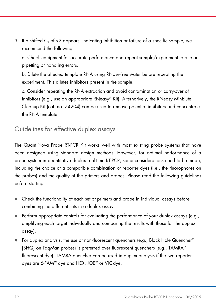3. If a shifted  $C_q$  of  $>2$  appears, indicating inhibition or failure of a specific sample, we recommend the following:

a. Check equipment for accurate performance and repeat sample/experiment to rule out pipetting or handling errors.

b. Dilute the affected template RNA using RNase-free water before repeating the experiment. This dilutes inhibitors present in the sample.

c. Consider repeating the RNA extraction and avoid contamination or carry-over of inhibitors (e.g., use an appropriate RNeasy® Kit). Alternatively, the RNeasy MinElute Cleanup Kit (cat. no. 74204) can be used to remove potential inhibitors and concentrate the RNA template.

### Guidelines for effective duplex assays

The QuantiNova Probe RT-PCR Kit works well with most existing probe systems that have been designed using standard design methods. However, for optimal performance of a probe system in quantitative duplex real-time RT-PCR, some considerations need to be made, including the choice of a compatible combination of reporter dyes (i.e., the fluorophores on the probes) and the quality of the primers and probes. Please read the following guidelines before starting.

- Check the functionality of each set of primers and probe in individual assays before combining the different sets in a duplex assay.
- $\bullet$  Perform appropriate controls for evaluating the performance of your duplex assays (e.g., amplifying each target individually and comparing the results with those for the duplex assay).
- For duplex analysis, the use of non-fluorescent quenchers (e.g., Black Hole Quencher® [BHQ] on TaqMan probes) is preferred over fluorescent quenchers (e.g., TAMRA™ fluorescent dye). TAMRA quencher can be used in duplex analysis if the two reporter dyes are 6-FAM™ dye and HEX, JOE™ or VIC dye.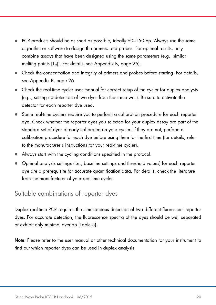- PCR products should be as short as possible, ideally 60–150 bp. Always use the same algorithm or software to design the primers and probes. For optimal results, only combine assays that have been designed using the same parameters (e.g., similar melting points  $[T_m]$ . For details, see Appendix B, page 26).
- Check the concentration and integrity of primers and probes before starting. For details, see Appendix B, page 26.
- Check the real-time cycler user manual for correct setup of the cycler for duplex analysis (e.g., setting up detection of two dyes from the same well). Be sure to activate the detector for each reporter dye used.
- Some real-time cyclers require you to perform a calibration procedure for each reporter dye. Check whether the reporter dyes you selected for your duplex assay are part of the standard set of dyes already calibrated on your cycler. If they are not, perform a calibration procedure for each dye before using them for the first time (for details, refer to the manufacturer's instructions for your real-time cycler).
- Always start with the cycling conditions specified in the protocol.
- Optimal analysis settings (i.e., baseline settings and threshold values) for each reporter dye are a prerequisite for accurate quantification data. For details, check the literature from the manufacturer of your real-time cycler.

### Suitable combinations of reporter dyes

Duplex real-time PCR requires the simultaneous detection of two different fluorescent reporter dyes. For accurate detection, the fluorescence spectra of the dyes should be well separated or exhibit only minimal overlap (Table 5).

Note: Please refer to the user manual or other technical documentation for your instrument to find out which reporter dyes can be used in duplex analysis.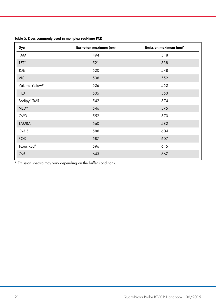| Table 5. Dyes commonly used in multiplex real-time PCR |  |  |  |  |  |
|--------------------------------------------------------|--|--|--|--|--|
|--------------------------------------------------------|--|--|--|--|--|

| Dye                        | <b>Excitation maximum (nm)</b> | Emission maximum (nm)* |
|----------------------------|--------------------------------|------------------------|
| FAM                        | 494                            | 518                    |
| TET™                       | 521                            | 538                    |
| <b>JOE</b>                 | 520                            | 548                    |
| <b>VIC</b>                 | 538                            | 552                    |
| Yakima Yellow <sup>®</sup> | 526                            | 552                    |
| <b>HEX</b>                 | 535                            | 553                    |
| Bodipy <sup>®</sup> TMR    | 542                            | 574                    |
| $NED^{m}$                  | 546                            | 575                    |
| $Cy^{\circledR}3$          | 552                            | 570                    |
| <b>TAMRA</b>               | 560                            | 582                    |
| Cy3.5                      | 588                            | 604                    |
| <b>ROX</b>                 | 587                            | 607                    |
| Texas Red®                 | 596                            | 615                    |
| Cy5                        | 643                            | 667                    |
|                            |                                |                        |

\* Emission spectra may vary depending on the buffer conditions.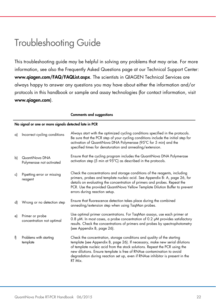# Troubleshooting Guide

This troubleshooting guide may be helpful in solving any problems that may arise. For more information, see also the Frequently Asked Questions page at our Technical Support Center: www.qiagen.com/FAQ/FAQList.aspx. The scientists in QIAGEN Technical Services are always happy to answer any questions you may have about either the information and/or protocols in this handbook or sample and assay technologies (for contact information, visit www.qiagen.com).

|    | No signal or one or more signals detected late in PCR |                                                                                                                                                                                                                                                                                                                                                                                                             |  |  |
|----|-------------------------------------------------------|-------------------------------------------------------------------------------------------------------------------------------------------------------------------------------------------------------------------------------------------------------------------------------------------------------------------------------------------------------------------------------------------------------------|--|--|
| a) | Incorrect cycling conditions                          | Always start with the optimized cycling conditions specified in the protocols.<br>Be sure that the PCR step of your cycling conditions include the initial step for<br>activation of QuantiNova DNA Polymerase (95°C for 5 min) and the<br>specified times for denaturation and annealing/extension.                                                                                                        |  |  |
| b) | QuantiNova DNA<br>Polymerase not activated            | Ensure that the cycling program includes the QuantiNova DNA Polymerase<br>activation step (5 min at 95°C) as described in the protocols.                                                                                                                                                                                                                                                                    |  |  |
| c) | Pipetting error or missing<br>reagent                 | Check the concentrations and storage conditions of the reagents, including<br>primers, probes and template nucleic acid. See Appendix B: A, page 26, for<br>details on evaluating the concentration of primers and probes. Repeat the<br>PCR. Use the provided QuantiNova Yellow Template Dilution Buffer to prevent<br>errors during reaction setup.                                                       |  |  |
| d) | Wrong or no detection step                            | Ensure that fluorescence detection takes place during the combined<br>annealing/extension step when using TaqMan probes.                                                                                                                                                                                                                                                                                    |  |  |
| e) | Primer or probe<br>concentration not optimal          | Use optimal primer concentrations. For TaqMan assays, use each primer at<br>0.8 pM. In most cases, a probe concentration of 0.2 pM provides satisfactory<br>results. Check the concentrations of primers and probes by spectrophotometry<br>(see Appendix B, page 26).                                                                                                                                      |  |  |
| f) | Problems with starting<br>template                    | Check the concentration, storage conditions and quality of the starting<br>template (see Appendix B, page 26). If necessary, make new serial dilutions<br>of template nucleic acid from the stock solutions. Repeat the PCR using the<br>new dilutions. Ensure template is free of RNAse contamination to avoid<br>degradation during reaction set up, even if RNAse inhibitor is present in the<br>RT Mix. |  |  |

Comments and suggestions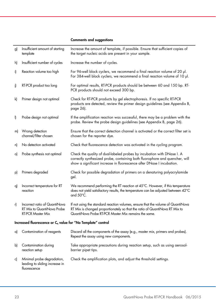#### Comments and suggestions

| g) | Insufficient amount of starting<br>template                                             | Increase the amount of template, if possible. Ensure that sufficient copies of<br>the target nucleic acids are present in your sample.                                                                                         |
|----|-----------------------------------------------------------------------------------------|--------------------------------------------------------------------------------------------------------------------------------------------------------------------------------------------------------------------------------|
| h) | Insufficient number of cycles                                                           | Increase the number of cycles.                                                                                                                                                                                                 |
| i) | Reaction volume too high                                                                | For 96-well block cyclers, we recommend a final reaction volume of 20 µl.<br>For 384-well block cyclers, we recommend a final reaction volume of 10 µl.                                                                        |
| i) | RT-PCR product too long                                                                 | For optimal results, RT-PCR products should be between 60 and 150 bp. RT-<br>PCR products should not exceed 300 bp.                                                                                                            |
| k) | Primer design not optimal                                                               | Check for RT-PCR products by gel electrophoresis. If no specific RT-PCR<br>products are detected, review the primer design guidelines (see Appendix B,<br>page 26).                                                            |
| I) | Probe design not optimal                                                                | If the amplification reaction was successful, there may be a problem with the<br>probe. Review the probe design guidelines (see Appendix B, page 26).                                                                          |
| m) | Wrong detection<br>channel/filter chosen                                                | Ensure that the correct detection channel is activated or the correct filter set is<br>chosen for the reporter dye.                                                                                                            |
| n) | No detection activated                                                                  | Check that fluorescence detection was activated in the cycling program.                                                                                                                                                        |
| o) | Probe synthesis not optimal                                                             | Check the quality of dual-labeled probes by incubation with DNase I. A<br>correctly synthesized probe, containing both fluorophore and quencher, will<br>show a significant increase in fluorescence after DNase I incubation. |
| p) | Primers degraded                                                                        | Check for possible degradation of primers on a denaturing polyacrylamide<br>gel.                                                                                                                                               |
| q) | Incorrect temperature for RT<br>reaction                                                | We recommend performing the RT reaction at 45°C. However, if this temperature<br>does not yield satisfactory results, the temperature can be adjusted between 42°C<br>and 50°C.                                                |
| r) | Incorrect ratio of QuantiNova<br>RT Mix to QuantiNova Probe<br><b>RT-PCR Master Mix</b> | If not using the standard reaction volumes, ensure that the volume of QuantiNova<br>RT Mix is changed proportionately so that the ratio of QuantiNova RT Mix to<br>QuantiNova Probe RT-PCR Master Mix remains the same.        |
|    | Increased fluorescence or C <sub>q</sub> value for "No Template" control                |                                                                                                                                                                                                                                |
| a) | Contamination of reagents                                                               | Discard all the components of the assay (e.g., master mix, primers and probes).<br>Repeat the assay using new components.                                                                                                      |
| b) | Contamination during<br>reaction setup                                                  | Take appropriate precautions during reaction setup, such as using aerosol-<br>barrier pipet tips.                                                                                                                              |
| c) | Minimal probe degradation,<br>leading to sliding increase in<br>fluorescence            | Check the amplification plots, and adjust the threshold settings.                                                                                                                                                              |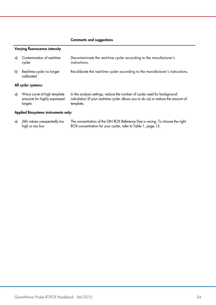#### Comments and suggestions

#### Varying fluorescence intensity

| a) | Contamination of real-time<br>cycler     | Decontaminate the real-time cycler according to the manufacturer's<br>instructions. |
|----|------------------------------------------|-------------------------------------------------------------------------------------|
| bl | Real-time cycler no longer<br>calibrated | Recalibrate the real-time cycler according to the manufacturer's instructions.      |
|    | All cycler systems:                      |                                                                                     |

a) Wavy curve at high template amounts for highly expressed targets In the analysis settings, reduce the number of cycles used for background calculation (if your real-time cycler allows you to do so) or reduce the amount of template.

#### Applied Biosystems instruments only:

| $a)$ $\Delta$ Rn values unexpectedly too | The concentration of the QN ROX Reference Dye is wrong. To choose the right |
|------------------------------------------|-----------------------------------------------------------------------------|
| high or too low                          | ROX concentration for your cycler, refer to Table 1, page 13.               |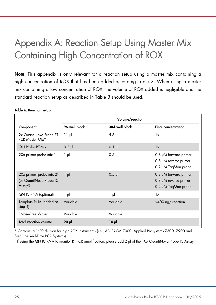# Appendix A: Reaction Setup Using Master Mix Containing High Concentration of ROX

Note: This appendix is only relevant for a reaction setup using a master mix containing a high concentration of ROX that has been added according Table 2. When using a master mix containing a low concentration of ROX, the volume of ROX added is negligible and the standard reaction setup as described in Table 3 should be used.

|                                                                                        | Volume/reaction |                |                                                                       |
|----------------------------------------------------------------------------------------|-----------------|----------------|-----------------------------------------------------------------------|
| Component                                                                              | 96-well block   | 384-well block | <b>Final concentration</b>                                            |
| 2x QuantiNova Probe RT-<br>PCR Master Mix*                                             | $11 \mu$        | $5.5$ $\mu$    | 1x                                                                    |
| <b>QN Probe RT-Mix</b>                                                                 | $0.2$ pl        | $0.1$ pl       | 1x                                                                    |
| 20x primer-probe mix 1                                                                 | 1 µl            | $0.5$ $\mu$    | 0.8 µM forward primer<br>0.8 µM reverse primer<br>0.2 µM TagMan probe |
| 20x primer-probe mix 2 <sup>t</sup><br>(or QuantiNova Probe IC<br>Assay <sup>t</sup> ) | $1 \mu$         | $0.5$ pl       | 0.8 µM forward primer<br>0.8 µM reverse primer<br>0.2 µM TaqMan probe |
| QN IC RNA (optional)                                                                   | 1 µl            | $1 \mu$        | 1x                                                                    |
| Template RNA (added at<br>step $4$ )                                                   | Variable        | Variable       | $\leq$ 400 ng/ reaction                                               |
| RNase-Free Water                                                                       | Variable        | Variable       |                                                                       |
| <b>Total reaction volume</b>                                                           | $20 \mu$        | $10 \mu$       |                                                                       |

#### Table 6. Reaction setup

Contains a 1:20 dilution for high ROX instruments (i.e., ABI PRISM 7000, Applied Biosystems 7300, 7900 and StepOne Real-Time PCR Systems).

† If using the QN IC RNA to monitor RT-PCR amplification, please add 2 μl of the 10x QuantiNova Probe IC Assay.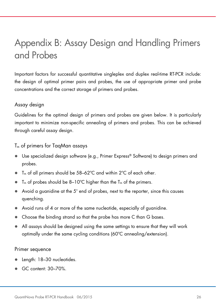# Appendix B: Assay Design and Handling Primers and Probes

Important factors for successful quantitative singleplex and duplex real-time RT-PCR include: the design of optimal primer pairs and probes, the use of appropriate primer and probe concentrations and the correct storage of primers and probes.

### Assay design

Guidelines for the optimal design of primers and probes are given below. It is particularly important to minimize non-specific annealing of primers and probes. This can be achieved through careful assay design.

### $T_m$  of primers for TaqMan assays

- Use specialized design software (e.g., Primer Express® Software) to design primers and probes.
- $T_m$  of all primers should be 58–62 $\degree$ C and within 2 $\degree$ C of each other.
- $\bullet$  T<sub>m</sub> of probes should be 8–10°C higher than the T<sub>m</sub> of the primers.
- Avoid a guanidine at the 5' end of probes, next to the reporter, since this causes quenching.
- Avoid runs of 4 or more of the same nucleotide, especially of guanidine.
- Choose the binding strand so that the probe has more C than G bases.
- All assays should be designed using the same settings to ensure that they will work optimally under the same cycling conditions (60ºC annealing/extension).

#### Primer sequence

- Length: 18–30 nucleotides.
- GC content: 30–70%.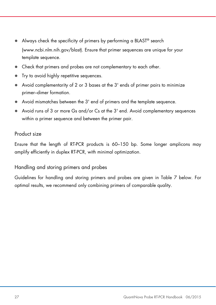- Always check the specificity of primers by performing a BLAST® search (www.ncbi.nlm.nih.gov/blast). Ensure that primer sequences are unique for your template sequence.
- Check that primers and probes are not complementary to each other.
- Try to avoid highly repetitive sequences.
- Avoid complementarity of 2 or 3 bases at the 3' ends of primer pairs to minimize primer–dimer formation.
- Avoid mismatches between the 3' end of primers and the template sequence.
- Avoid runs of 3 or more Gs and/or Cs at the 3' end. Avoid complementary sequences within a primer sequence and between the primer pair.

### Product size

Ensure that the length of RT-PCR products is 60–150 bp. Some longer amplicons may amplify efficiently in duplex RT-PCR, with minimal optimization.

### Handling and storing primers and probes

Guidelines for handling and storing primers and probes are given in Table 7 below. For optimal results, we recommend only combining primers of comparable quality.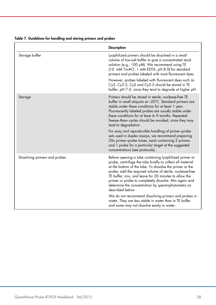|                               | <b>Description</b>                                                                                                                                                                                                                                                                                                                                                                                                                                                                                                                                                                                                                |
|-------------------------------|-----------------------------------------------------------------------------------------------------------------------------------------------------------------------------------------------------------------------------------------------------------------------------------------------------------------------------------------------------------------------------------------------------------------------------------------------------------------------------------------------------------------------------------------------------------------------------------------------------------------------------------|
| Storage buffer                | Lyophilized primers should be dissolved in a small<br>volume of low-salt buffer to give a concentrated stock<br>solution (e.g., 100 µM). We recommend using TE<br>(10 mM Tris•Cl, 1 mM EDTA, pH 8.0) for standard<br>primers and probes labeled with most fluorescent dyes.                                                                                                                                                                                                                                                                                                                                                       |
|                               | However, probes labeled with fluorescent dyes such as<br>Cy3, Cy3.5, Cy5 and Cy5.5 should be stored in TE<br>buffer, pH 7.0, since they tend to degrade at higher pH.                                                                                                                                                                                                                                                                                                                                                                                                                                                             |
| Storage                       | Primers should be stored in sterile, nuclease-free TE<br>buffer in small aliquots at -20°C. Standard primers are<br>stable under these conditions for at least 1 year.<br>Fluorescently labeled probes are usually stable under<br>these conditions for at least 6-9 months. Repeated<br>freeze-thaw cycles should be avoided, since they may<br>lead to degradation.<br>For easy and reproducible handling of primer-probe<br>sets used in duplex assays, we recommend preparing<br>20x primer-probe mixes, each containing 2 primers<br>and 1 probe for a particular target at the suggested<br>concentrations (see protocols). |
| Dissolving primers and probes | Before opening a tube containing lyophilized primer or<br>probe, centrifuge the tube briefly to collect all material<br>at the bottom of the tube. To dissolve the primer or the<br>probe, add the required volume of sterile, nuclease-free<br>TE buffer, mix, and leave for 20 minutes to allow the<br>primer or probe to completely dissolve. Mix again and<br>determine the concentration by spectrophotometry as<br>described below                                                                                                                                                                                          |
|                               | We do not recommend dissolving primers and probes in<br>water. They are less stable in water than in TE buffer<br>and some may not dissolve easily in water.                                                                                                                                                                                                                                                                                                                                                                                                                                                                      |

#### Table 7. Guidelines for handling and storing primers and probes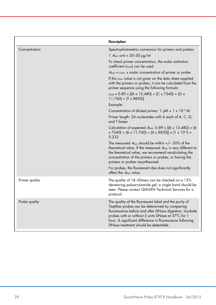|                | <b>Description</b>                                                                                                                                                                                                                                                                                                           |
|----------------|------------------------------------------------------------------------------------------------------------------------------------------------------------------------------------------------------------------------------------------------------------------------------------------------------------------------------|
| Concentration  | Spectrophotometric conversion for primers and probes:<br>1 $A_{260}$ unit = 20-30 $\mu$ g/ml                                                                                                                                                                                                                                 |
|                | To check primer concentration, the molar extinction<br>coefficient $(\varepsilon_{260})$ can be used:                                                                                                                                                                                                                        |
|                | $A_{260}$ = $\varepsilon_{260}$ x molar concentration of primer or probe                                                                                                                                                                                                                                                     |
|                | If the $\varepsilon_{260}$ value is not given on the data sheet supplied<br>with the primers or probes, it can be calculated from the<br>primer sequence using the following formula:                                                                                                                                        |
|                | $\varepsilon_{260}$ = 0.89 x [(A x 15,480) + (C x 7340) + (G x<br>$11,760$ + (T x 8850)]                                                                                                                                                                                                                                     |
|                | Example:                                                                                                                                                                                                                                                                                                                     |
|                | Concentration of diluted primer: $1 \mu M = 1 \times 10^{-6} M$                                                                                                                                                                                                                                                              |
|                | Primer length: 24 nucleotides with 6 each of A, C, G,<br>and T bases                                                                                                                                                                                                                                                         |
|                | Calculation of expected $A_{260}$ : 0.89 x [(6 x 15,480) + (6<br>$x$ 7340) + (6 x 11,760) + (6 x 8850)] x (1 x 10 <sup>-6</sup> ) =<br>0.232                                                                                                                                                                                 |
|                | The measured $A_{260}$ should be within $+/- 30\%$ of the<br>theoretical value. If the measured $A_{260}$ is very different to<br>the theoretical value, we recommend recalculating the<br>concentration of the primers or probes, or having the<br>primers or probes resynthesized.                                         |
|                | For probes, the fluorescent dye does not significantly<br>affect the A <sub>260</sub> value.                                                                                                                                                                                                                                 |
| Primer quality | The quality of 18-30 mers can be checked on a 15%<br>denaturing polyacrylamide gel; a single band should be<br>seen. Please contact QIAGEN Technical Services for a<br>protocol.                                                                                                                                             |
| Probe quality  | The quality of the fluorescent label and the purity of<br>TagMan probes can be determined by comparing<br>fluorescence before and after DNase digestion. Incubate<br>probes with or without 5 units DNase at 37°C for 1<br>hour. A significant difference in fluorescence following<br>DNase treatment should be detectable. |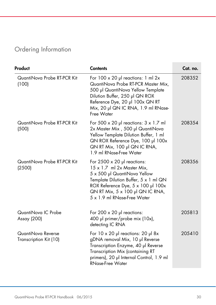### Ordering Information

| Product<br><b>Contents</b>                   |                                                                                                                                                                                                                                                                  | Cat. no. |
|----------------------------------------------|------------------------------------------------------------------------------------------------------------------------------------------------------------------------------------------------------------------------------------------------------------------|----------|
| QuantiNova Probe RT-PCR Kit<br>(100)         | For $100 \times 20$ µ reactions: 1 ml 2x<br>QuantiNova Probe RT-PCR Master Mix,<br>500 µl QuantiNova Yellow Template<br>Dilution Buffer, 250 µl QN ROX<br>Reference Dye, 20 µl 100x QN RT<br>Mix, 20 µl QN IC RNA, 1.9 ml RNase-<br>Free Water                   | 208352   |
| QuantiNova Probe RT-PCR Kit<br>(500)         | For 500 $\times$ 20 µ reactions: 3 $\times$ 1.7 ml<br>2x Master Mix, 500 µl QuantiNova<br>Yellow Template Dilution Buffer, 1 ml<br>QN ROX Reference Dye, 100 µl 100x<br>QN RT Mix, 100 µl QN IC RNA,<br>1.9 ml RNase-Free Water                                  | 208354   |
| QuantiNova Probe RT-PCR Kit<br>(2500)        | For $2500 \times 20$ µl reactions:<br>$15 \times 1.7$ ml 2x Master Mix,<br>5 x 500 µl QuantiNova Yellow<br>Template Dilution Buffer, 5 x 1 ml QN<br>ROX Reference Dye, 5 x 100 µl 100x<br>QN RT Mix, $5 \times 100$ µl QN IC RNA,<br>5 x 1.9 ml RNase-Free Water | 208356   |
| QuantiNova IC Probe<br>Assay (200)           | For 200 $\times$ 20 µ reactions:<br>400 µl primer/probe mix (10x),<br>detecting IC RNA                                                                                                                                                                           | 205813   |
| QuantiNova Reverse<br>Transcription Kit (10) | For $10 \times 20$ µ reactions: $20$ µ 8x<br>gDNA removal Mix, 10 µl Reverse<br>Transcription Enzyme, 40 µl Reverse<br>Transcription Mix (containing RT<br>primers), 20 µl Internal Control, 1.9 ml<br><b>RNase-Free Water</b>                                   | 205410   |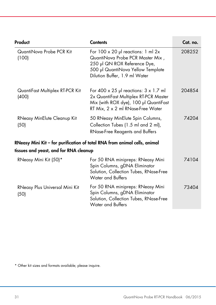| Product                                  | <b>Contents</b>                                                                                                                                                                    | Cat. no. |
|------------------------------------------|------------------------------------------------------------------------------------------------------------------------------------------------------------------------------------|----------|
| QuantiNova Probe PCR Kit<br>(100)        | For $100 \times 20$ µ reactions: 1 ml 2x<br>QuantiNova Probe PCR Master Mix,<br>250 µl QN ROX Reference Dye,<br>500 µl QuantiNova Yellow Template<br>Dilution Buffer, 1.9 ml Water | 208252   |
| QuantiFast Multiplex RT-PCR Kit<br>(400) | For 400 $\times$ 25 µ reactions: $3 \times 1.7$ m<br>2x QuantiFast Multiplex RT-PCR Master<br>Mix (with ROX dye), 100 µl QuantiFast<br>RT Mix, 2 x 2 ml RNase-Free Water           | 204854   |
| RNeasy MinElute Cleanup Kit<br>(50)      | 50 RNeasy MinElute Spin Columns,<br>Collection Tubes (1.5 ml and 2 ml),<br><b>RNase-Free Reagents and Buffers</b>                                                                  | 74204    |
| tissues and yeast, and for RNA cleanup   | RNeasy Mini Kit - for purification of total RNA from animal cells, animal                                                                                                          |          |
| RNeasy Mini Kit (50)*                    | For 50 RNA minipreps: RNeasy Mini<br>Spin Columns, gDNA Eliminator<br>Solution, Collection Tubes, RNase-Free<br><b>Water and Buffers</b>                                           | 74104    |
| RNeasy Plus Universal Mini Kit<br>(50)   | For 50 RNA minipreps: RNeasy Mini<br>Spin Columns, gDNA Eliminator<br>Solution, Collection Tubes, RNase-Free<br>Water and Buffers                                                  | 73404    |

\* Other kit sizes and formats available; please inquire.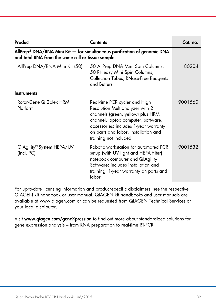| Product                                                                                                                                     | <b>Contents</b>                                                                                                                                                                                                                                        | Cat. no. |
|---------------------------------------------------------------------------------------------------------------------------------------------|--------------------------------------------------------------------------------------------------------------------------------------------------------------------------------------------------------------------------------------------------------|----------|
| AllPrep <sup>®</sup> DNA/RNA Mini Kit $-$ for simultaneous purification of genomic DNA<br>and total RNA from the same cell or tissue sample |                                                                                                                                                                                                                                                        |          |
| AllPrep DNA/RNA Mini Kit (50)                                                                                                               | 50 AllPrep DNA Mini Spin Columns,<br>50 RNeasy Mini Spin Columns,<br>Collection Tubes, RNase-Free Reagents<br>and Buffers                                                                                                                              | 80204    |
| <b>Instruments</b>                                                                                                                          |                                                                                                                                                                                                                                                        |          |
| Rotor-Gene Q 2plex HRM<br>Platform                                                                                                          | Real-time PCR cycler and High<br>Resolution Melt analyzer with 2<br>channels (green, yellow) plus HRM<br>channel, laptop computer, software,<br>accessories: includes 1-year warranty<br>on parts and labor, installation and<br>training not included | 9001560  |
| QIAgility® System HEPA/UV<br>(incl. PC)                                                                                                     | Robotic workstation for automated PCR<br>setup (with UV light and HEPA filter),<br>notebook computer and QIAgility<br>Software: includes installation and<br>training, 1-year warranty on parts and<br>labor                                           | 9001532  |

For up-to-date licensing information and product-specific disclaimers, see the respective QIAGEN kit handbook or user manual. QIAGEN kit handbooks and user manuals are available at www.qiagen.com or can be requested from QIAGEN Technical Services or your local distributor.

Visit www.qiagen.com/geneXpression to find out more about standardized solutions for gene expression analysis – from RNA preparation to real-time RT-PCR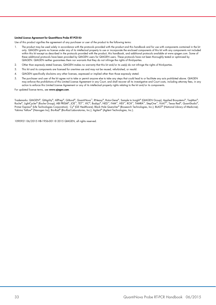#### Limited License Agreement for QuantiNova Probe RT-PCR Kit

Use of this product signifies the agreement of any purchaser or user of the product to the following terms:

- 1. The product may be used solely in accordance with the protocols provided with the product and this handbook and for use with components contained in the kit only. QIAGEN grants no license under any of its intellectual property to use or incorporate the enclosed components of this kit with any components not included within this kit except as described in the protocols provided with the product, this handbook, and additional protocols available at www.qiagen.com. Some of these additional protocols have been provided by QIAGEN users for QIAGEN users. These protocols have not been thoroughly tested or optimized by QIAGEN. QIAGEN neither guarantees them nor warrants that they do not infringe the rights of third-parties.
- 2. Other than expressly stated licenses, QIAGEN makes no warranty that this kit and/or its use(s) do not infringe the rights of third-parties.
- 3. This kit and its components are licensed for one-time use and may not be reused, refurbished, or resold.
- 4. QIAGEN specifically disclaims any other licenses, expressed or implied other than those expressly stated.
- 5. The purchaser and user of the kit agree not to take or permit anyone else to take any steps that could lead to or facilitate any acts prohibited above. QIAGEN may enforce the prohibitions of this Limited License Agreement in any Court, and shall recover all its investigative and Court costs, including attorney fees, in any action to enforce this Limited License Agreement or any of its intellectual property rights relating to the kit and/or its components.

For updated license terms, see www.aiagen.com.

Trademarks: QIAGEN®, QIAgility®, AllPrep®, Q-Bond®, QuantiNova™, RNeasy®, Rotor-Gene®, Sample to Insighi® (QIAGEN Group); Applied Biosystems®, TaqMan®,<br>Roche®, LightCycler® (Roche Group); ABI PRISM®, JOE™, TET™, VIC®, Bodj Primer Express® (Life Technologies Corporation); Cy® (GE Healthcare); Black Hole Quencher® (Biosearch Technologies, Inc.); BLAST® (National Library of Medicine); Yakima Yellow® (Nanogen Inc); Bio-Rad® (Bio-Rad Laboratories, Inc.); Agilent® (Agilent Technologies, Inc.).

1090921 06/2015 HB-1956-001 © 2015 QIAGEN, all rights reserved.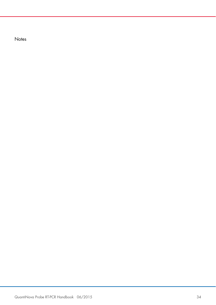**Notes**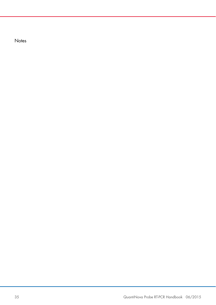**Notes**